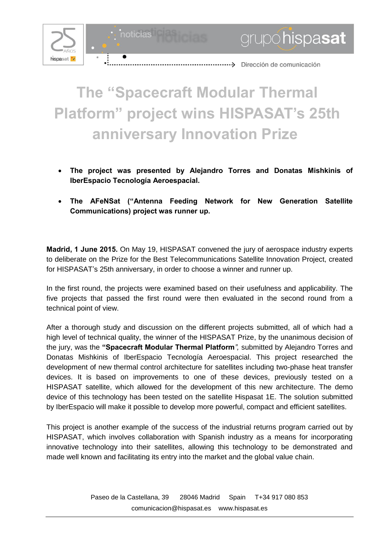

grupohispasat

## **The "Spacecraft Modular Thermal Platform" project wins HISPASAT's 25th anniversary Innovation Prize**

- **The project was presented by Alejandro Torres and Donatas Mishkinis of IberEspacio Tecnología Aeroespacial.**
- **The AFeNSat ("Antenna Feeding Network for New Generation Satellite Communications) project was runner up.**

**Madrid, 1 June 2015.** On May 19, HISPASAT convened the jury of aerospace industry experts to deliberate on the Prize for the Best Telecommunications Satellite Innovation Project, created for HISPASAT's 25th anniversary, in order to choose a winner and runner up.

In the first round, the projects were examined based on their usefulness and applicability. The five projects that passed the first round were then evaluated in the second round from a technical point of view.

After a thorough study and discussion on the different projects submitted, all of which had a high level of technical quality, the winner of the HISPASAT Prize, by the unanimous decision of the jury, was the **"Spacecraft Modular Thermal Platform***",* submitted by Alejandro Torres and Donatas Mishkinis of IberEspacio Tecnología Aeroespacial. This project researched the development of new thermal control architecture for satellites including two-phase heat transfer devices. It is based on improvements to one of these devices, previously tested on a HISPASAT satellite, which allowed for the development of this new architecture. The demo device of this technology has been tested on the satellite Hispasat 1E. The solution submitted by IberEspacio will make it possible to develop more powerful, compact and efficient satellites.

This project is another example of the success of the industrial returns program carried out by HISPASAT, which involves collaboration with Spanish industry as a means for incorporating innovative technology into their satellites, allowing this technology to be demonstrated and made well known and facilitating its entry into the market and the global value chain.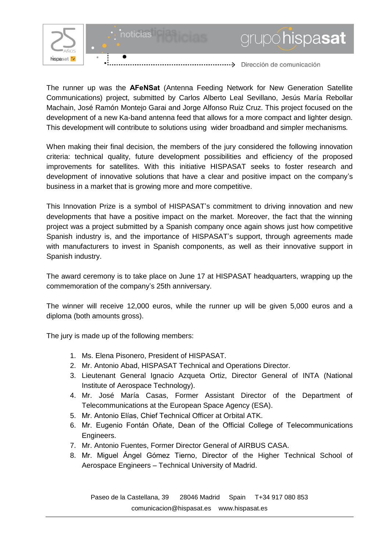

noticias



mumicación de comunicación

The runner up was the **AFeNSat** (Antenna Feeding Network for New Generation Satellite Communications) project, submitted by Carlos Alberto Leal Sevillano, Jesús María Rebollar Machain, José Ramón Montejo Garai and Jorge Alfonso Ruiz Cruz. This project focused on the development of a new Ka-band antenna feed that allows for a more compact and lighter design. This development will contribute to solutions using wider broadband and simpler mechanisms*.* 

When making their final decision, the members of the jury considered the following innovation criteria: technical quality, future development possibilities and efficiency of the proposed improvements for satellites. With this initiative HISPASAT seeks to foster research and development of innovative solutions that have a clear and positive impact on the company's business in a market that is growing more and more competitive.

This Innovation Prize is a symbol of HISPASAT's commitment to driving innovation and new developments that have a positive impact on the market. Moreover, the fact that the winning project was a project submitted by a Spanish company once again shows just how competitive Spanish industry is, and the importance of HISPASAT's support, through agreements made with manufacturers to invest in Spanish components, as well as their innovative support in Spanish industry.

The award ceremony is to take place on June 17 at HISPASAT headquarters, wrapping up the commemoration of the company's 25th anniversary.

The winner will receive 12,000 euros, while the runner up will be given 5,000 euros and a diploma (both amounts gross).

The jury is made up of the following members:

- 1. Ms. Elena Pisonero, President of HISPASAT.
- 2. Mr. Antonio Abad, HISPASAT Technical and Operations Director.
- 3. Lieutenant General Ignacio Azqueta Ortiz, Director General of INTA (National Institute of Aerospace Technology).
- 4. Mr. José María Casas, Former Assistant Director of the Department of Telecommunications at the European Space Agency (ESA).
- 5. Mr. Antonio Elías, Chief Technical Officer at Orbital ATK.
- 6. Mr. Eugenio Fontán Oñate, Dean of the Official College of Telecommunications Engineers.
- 7. Mr. Antonio Fuentes, Former Director General of AIRBUS CASA.
- 8. Mr. Miguel Ángel Gómez Tierno, Director of the Higher Technical School of Aerospace Engineers – Technical University of Madrid.

Paseo de la Castellana, 39 28046 Madrid Spain T+34 917 080 853 [comunicacion@hispasat.es](mailto:comunicacion@hispasat.es) www.hispasat.es